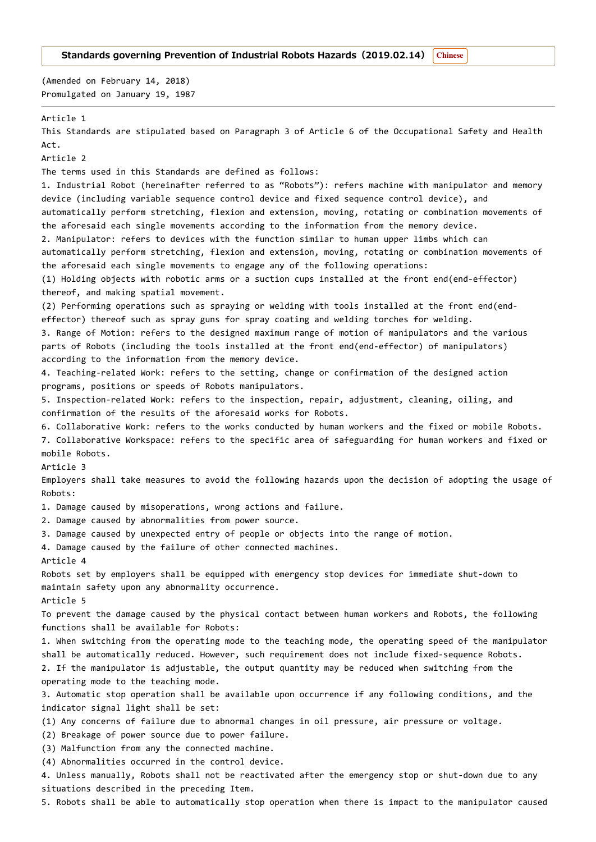(Amended on February 14, 2018) Promulgated on January 19, 1987

## Article 1

This Standards are stipulated based on Paragraph 3 of Article 6 of the Occupational Safety and Health Act.

Article 2

The terms used in this Standards are defined as follows:

1. Industrial Robot (hereinafter referred to as "Robots"): refers machine with manipulator and memory device (including variable sequence control device and fixed sequence control device), and automatically perform stretching, flexion and extension, moving, rotating or combination movements of the aforesaid each single movements according to the information from the memory device. 2. Manipulator: refers to devices with the function similar to human upper limbs which can automatically perform stretching, flexion and extension, moving, rotating or combination movements of the aforesaid each single movements to engage any of the following operations: (1) Holding objects with robotic arms or a suction cups installed at the front end(end‑effector) thereof, and making spatial movement. (2) Performing operations such as spraying or welding with tools installed at the front end(endeffector) thereof such as spray guns for spray coating and welding torches for welding. 3. Range of Motion: refers to the designed maximum range of motion of manipulators and the various parts of Robots (including the tools installed at the front end(end-effector) of manipulators)

according to the information from the memory device.

4. Teaching-related Work: refers to the setting, change or confirmation of the designed action programs, positions or speeds of Robots manipulators.

5. Inspection‑related Work: refers to the inspection, repair, adjustment, cleaning, oiling, and confirmation of the results of the aforesaid works for Robots.

6. Collaborative Work: refers to the works conducted by human workers and the fixed or mobile Robots.

7. Collaborative Workspace: refers to the specific area of safeguarding for human workers and fixed or mobile Robots.

Article 3

Employers shall take measures to avoid the following hazards upon the decision of adopting the usage of Robots:

1. Damage caused by misoperations, wrong actions and failure.

2. Damage caused by abnormalities from power source.

3. Damage caused by unexpected entry of people or objects into the range of motion.

4. Damage caused by the failure of other connected machines.

Article 4

Robots set by employers shall be equipped with emergency stop devices for immediate shut-down to maintain safety upon any abnormality occurrence.

Article 5

To prevent the damage caused by the physical contact between human workers and Robots, the following functions shall be available for Robots:

1. When switching from the operating mode to the teaching mode, the operating speed of the manipulator shall be automatically reduced. However, such requirement does not include fixed-sequence Robots.

2. If the manipulator is adjustable, the output quantity may be reduced when switching from the operating mode to the teaching mode.

3. Automatic stop operation shall be available upon occurrence if any following conditions, and the indicator signal light shall be set:

- (1) Any concerns of failure due to abnormal changes in oil pressure, air pressure or voltage.
- (2) Breakage of power source due to power failure.
- (3) Malfunction from any the connected machine.
- (4) Abnormalities occurred in the control device.

4. Unless manually, Robots shall not be reactivated after the emergency stop or shut-down due to any situations described in the preceding Item.

5. Robots shall be able to automatically stop operation when there is impact to the manipulator caused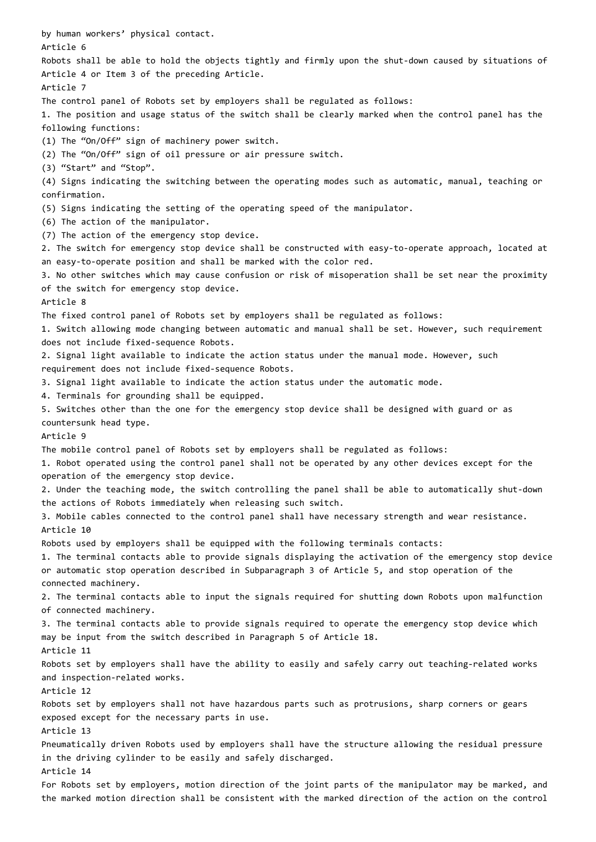by human workers' physical contact. Article 6 Robots shall be able to hold the objects tightly and firmly upon the shut-down caused by situations of Article 4 or Item 3 of the preceding Article. Article 7 The control panel of Robots set by employers shall be regulated as follows: 1. The position and usage status of the switch shall be clearly marked when the control panel has the following functions: (1) The "On/Off" sign of machinery power switch. (2) The "On/Off" sign of oil pressure or air pressure switch. (3) "Start" and "Stop". (4) Signs indicating the switching between the operating modes such as automatic, manual, teaching or confirmation. (5) Signs indicating the setting of the operating speed of the manipulator. (6) The action of the manipulator. (7) The action of the emergency stop device. 2. The switch for emergency stop device shall be constructed with easy-to-operate approach, located at an easy-to-operate position and shall be marked with the color red. 3. No other switches which may cause confusion or risk of misoperation shall be set near the proximity of the switch for emergency stop device. Article 8 The fixed control panel of Robots set by employers shall be regulated as follows: 1. Switch allowing mode changing between automatic and manual shall be set. However, such requirement does not include fixed‑sequence Robots. 2. Signal light available to indicate the action status under the manual mode. However, such requirement does not include fixed-sequence Robots. 3. Signal light available to indicate the action status under the automatic mode. 4. Terminals for grounding shall be equipped. 5. Switches other than the one for the emergency stop device shall be designed with guard or as countersunk head type. Article 9 The mobile control panel of Robots set by employers shall be regulated as follows: 1. Robot operated using the control panel shall not be operated by any other devices except for the operation of the emergency stop device. 2. Under the teaching mode, the switch controlling the panel shall be able to automatically shut-down the actions of Robots immediately when releasing such switch. 3. Mobile cables connected to the control panel shall have necessary strength and wear resistance. Article 10 Robots used by employers shall be equipped with the following terminals contacts: 1. The terminal contacts able to provide signals displaying the activation of the emergency stop device or automatic stop operation described in Subparagraph 3 of Article 5, and stop operation of the connected machinery. 2. The terminal contacts able to input the signals required for shutting down Robots upon malfunction of connected machinery. 3. The terminal contacts able to provide signals required to operate the emergency stop device which may be input from the switch described in Paragraph 5 of Article 18. Article 11 Robots set by employers shall have the ability to easily and safely carry out teaching-related works and inspection-related works. Article 12 Robots set by employers shall not have hazardous parts such as protrusions, sharp corners or gears exposed except for the necessary parts in use. Article 13 Pneumatically driven Robots used by employers shall have the structure allowing the residual pressure in the driving cylinder to be easily and safely discharged. Article 14 For Robots set by employers, motion direction of the joint parts of the manipulator may be marked, and the marked motion direction shall be consistent with the marked direction of the action on the control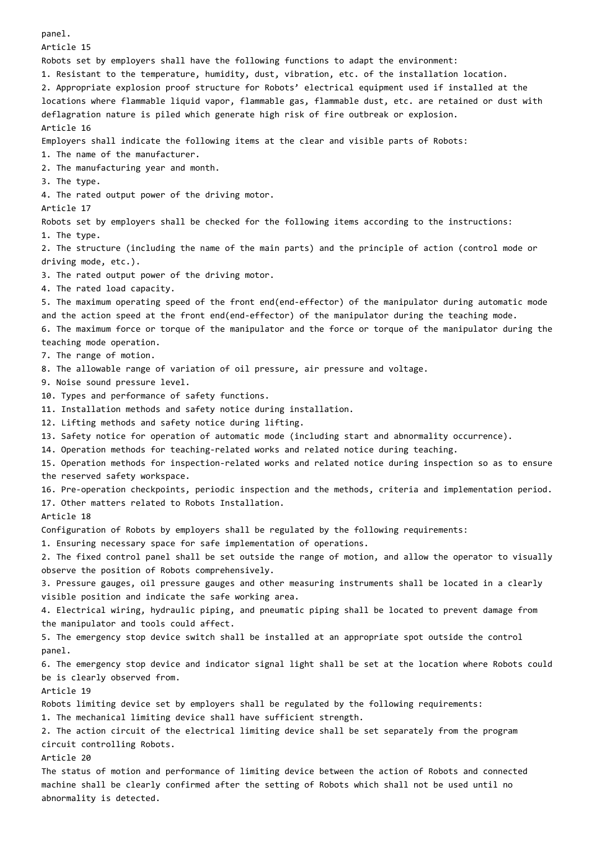panel. Article 15 Robots set by employers shall have the following functions to adapt the environment: 1. Resistant to the temperature, humidity, dust, vibration, etc. of the installation location. 2. Appropriate explosion proof structure for Robots' electrical equipment used if installed at the locations where flammable liquid vapor, flammable gas, flammable dust, etc. are retained or dust with deflagration nature is piled which generate high risk of fire outbreak or explosion. Article 16 Employers shall indicate the following items at the clear and visible parts of Robots: 1. The name of the manufacturer. 2. The manufacturing year and month. 3. The type. 4. The rated output power of the driving motor. Article 17 Robots set by employers shall be checked for the following items according to the instructions: 1. The type. 2. The structure (including the name of the main parts) and the principle of action (control mode or driving mode, etc.). 3. The rated output power of the driving motor. 4. The rated load capacity. 5. The maximum operating speed of the front end(end‑effector) of the manipulator during automatic mode and the action speed at the front end(end-effector) of the manipulator during the teaching mode. 6. The maximum force or torque of the manipulator and the force or torque of the manipulator during the teaching mode operation. 7. The range of motion. 8. The allowable range of variation of oil pressure, air pressure and voltage. 9. Noise sound pressure level. 10. Types and performance of safety functions. 11. Installation methods and safety notice during installation. 12. Lifting methods and safety notice during lifting. 13. Safety notice for operation of automatic mode (including start and abnormality occurrence). 14. Operation methods for teaching‑related works and related notice during teaching. 15. Operation methods for inspection‑related works and related notice during inspection so as to ensure the reserved safety workspace. 16. Pre‑operation checkpoints, periodic inspection and the methods, criteria and implementation period. 17. Other matters related to Robots Installation. Article 18 Configuration of Robots by employers shall be regulated by the following requirements: 1. Ensuring necessary space for safe implementation of operations. 2. The fixed control panel shall be set outside the range of motion, and allow the operator to visually observe the position of Robots comprehensively. 3. Pressure gauges, oil pressure gauges and other measuring instruments shall be located in a clearly visible position and indicate the safe working area. 4. Electrical wiring, hydraulic piping, and pneumatic piping shall be located to prevent damage from the manipulator and tools could affect. 5. The emergency stop device switch shall be installed at an appropriate spot outside the control panel. 6. The emergency stop device and indicator signal light shall be set at the location where Robots could be is clearly observed from. Article 19 Robots limiting device set by employers shall be regulated by the following requirements: 1. The mechanical limiting device shall have sufficient strength. 2. The action circuit of the electrical limiting device shall be set separately from the program circuit controlling Robots. Article 20 The status of motion and performance of limiting device between the action of Robots and connected machine shall be clearly confirmed after the setting of Robots which shall not be used until no abnormality is detected.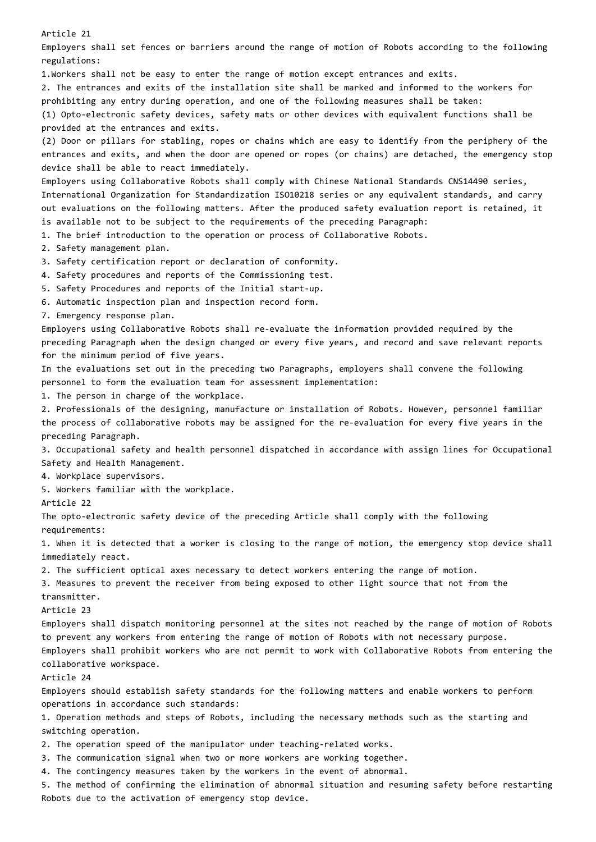Employers shall set fences or barriers around the range of motion of Robots according to the following regulations: 1.Workers shall not be easy to enter the range of motion except entrances and exits. 2. The entrances and exits of the installation site shall be marked and informed to the workers for prohibiting any entry during operation, and one of the following measures shall be taken: (1) Opto‑electronic safety devices, safety mats or other devices with equivalent functions shall be provided at the entrances and exits. (2) Door or pillars for stabling, ropes or chains which are easy to identify from the periphery of the entrances and exits, and when the door are opened or ropes (or chains) are detached, the emergency stop device shall be able to react immediately. Employers using Collaborative Robots shall comply with Chinese National Standards CNS14490 series, International Organization for Standardization ISO10218 series or any equivalent standards, and carry out evaluations on the following matters. After the produced safety evaluation report is retained, it is available not to be subject to the requirements of the preceding Paragraph: 1. The brief introduction to the operation or process of Collaborative Robots. 2. Safety management plan. 3. Safety certification report or declaration of conformity. 4. Safety procedures and reports of the Commissioning test. 5. Safety Procedures and reports of the Initial start‑up. 6. Automatic inspection plan and inspection record form. 7. Emergency response plan. Employers using Collaborative Robots shall re-evaluate the information provided required by the preceding Paragraph when the design changed or every five years, and record and save relevant reports for the minimum period of five years. In the evaluations set out in the preceding two Paragraphs, employers shall convene the following personnel to form the evaluation team for assessment implementation: 1. The person in charge of the workplace. 2. Professionals of the designing, manufacture or installation of Robots. However, personnel familiar the process of collaborative robots may be assigned for the re‑evaluation for every five years in the preceding Paragraph. 3. Occupational safety and health personnel dispatched in accordance with assign lines for Occupational Safety and Health Management. 4. Workplace supervisors. 5. Workers familiar with the workplace. Article 22 The opto-electronic safety device of the preceding Article shall comply with the following requirements: 1. When it is detected that a worker is closing to the range of motion, the emergency stop device shall immediately react. 2. The sufficient optical axes necessary to detect workers entering the range of motion. 3. Measures to prevent the receiver from being exposed to other light source that not from the transmitter. Article 23 Employers shall dispatch monitoring personnel at the sites not reached by the range of motion of Robots to prevent any workers from entering the range of motion of Robots with not necessary purpose. Employers shall prohibit workers who are not permit to work with Collaborative Robots from entering the collaborative workspace. Article 24 Employers should establish safety standards for the following matters and enable workers to perform operations in accordance such standards: 1. Operation methods and steps of Robots, including the necessary methods such as the starting and switching operation. 2. The operation speed of the manipulator under teaching-related works. 3. The communication signal when two or more workers are working together. 4. The contingency measures taken by the workers in the event of abnormal. 5. The method of confirming the elimination of abnormal situation and resuming safety before restarting Robots due to the activation of emergency stop device.

Article 21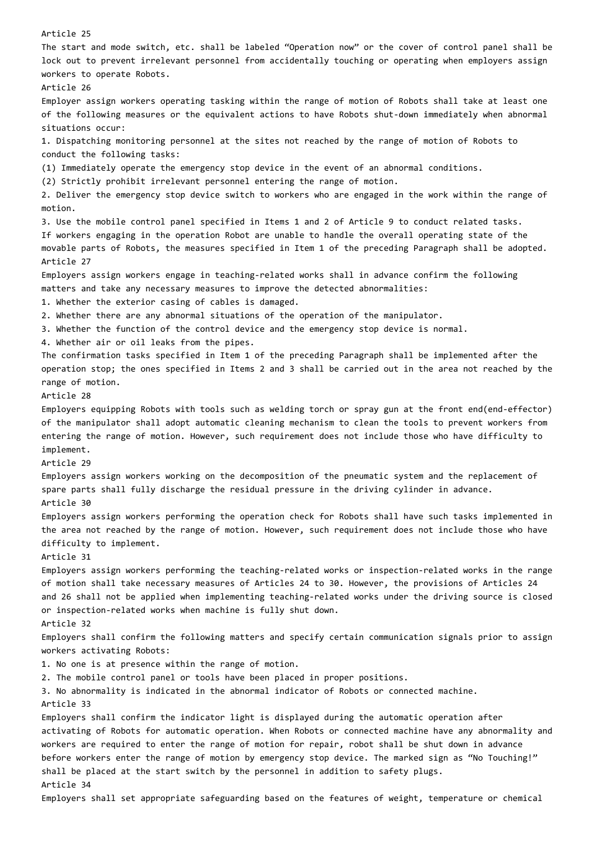Article 25

The start and mode switch, etc. shall be labeled "Operation now" or the cover of control panel shall be lock out to prevent irrelevant personnel from accidentally touching or operating when employers assign workers to operate Robots. Article 26 Employer assign workers operating tasking within the range of motion of Robots shall take at least one of the following measures or the equivalent actions to have Robots shut-down immediately when abnormal situations occur: 1. Dispatching monitoring personnel at the sites not reached by the range of motion of Robots to conduct the following tasks: (1) Immediately operate the emergency stop device in the event of an abnormal conditions. (2) Strictly prohibit irrelevant personnel entering the range of motion. 2. Deliver the emergency stop device switch to workers who are engaged in the work within the range of motion. 3. Use the mobile control panel specified in Items 1 and 2 of Article 9 to conduct related tasks. If workers engaging in the operation Robot are unable to handle the overall operating state of the movable parts of Robots, the measures specified in Item 1 of the preceding Paragraph shall be adopted. Article 27 Employers assign workers engage in teaching‑related works shall in advance confirm the following matters and take any necessary measures to improve the detected abnormalities: 1. Whether the exterior casing of cables is damaged. 2. Whether there are any abnormal situations of the operation of the manipulator. 3. Whether the function of the control device and the emergency stop device is normal. 4. Whether air or oil leaks from the pipes. The confirmation tasks specified in Item 1 of the preceding Paragraph shall be implemented after the operation stop; the ones specified in Items 2 and 3 shall be carried out in the area not reached by the range of motion. Article 28 Employers equipping Robots with tools such as welding torch or spray gun at the front end(end-effector) of the manipulator shall adopt automatic cleaning mechanism to clean the tools to prevent workers from entering the range of motion. However, such requirement does not include those who have difficulty to implement. Article 29 Employers assign workers working on the decomposition of the pneumatic system and the replacement of spare parts shall fully discharge the residual pressure in the driving cylinder in advance. Article 30 Employers assign workers performing the operation check for Robots shall have such tasks implemented in the area not reached by the range of motion. However, such requirement does not include those who have difficulty to implement. Article 31 Employers assign workers performing the teaching-related works or inspection-related works in the range of motion shall take necessary measures of Articles 24 to 30. However, the provisions of Articles 24 and 26 shall not be applied when implementing teaching‑related works under the driving source is closed or inspection-related works when machine is fully shut down. Article 32 Employers shall confirm the following matters and specify certain communication signals prior to assign workers activating Robots: 1. No one is at presence within the range of motion. 2. The mobile control panel or tools have been placed in proper positions. 3. No abnormality is indicated in the abnormal indicator of Robots or connected machine. Article 33 Employers shall confirm the indicator light is displayed during the automatic operation after activating of Robots for automatic operation. When Robots or connected machine have any abnormality and workers are required to enter the range of motion for repair, robot shall be shut down in advance before workers enter the range of motion by emergency stop device. The marked sign as "No Touching!" shall be placed at the start switch by the personnel in addition to safety plugs. Article 34

Employers shall set appropriate safeguarding based on the features of weight, temperature or chemical